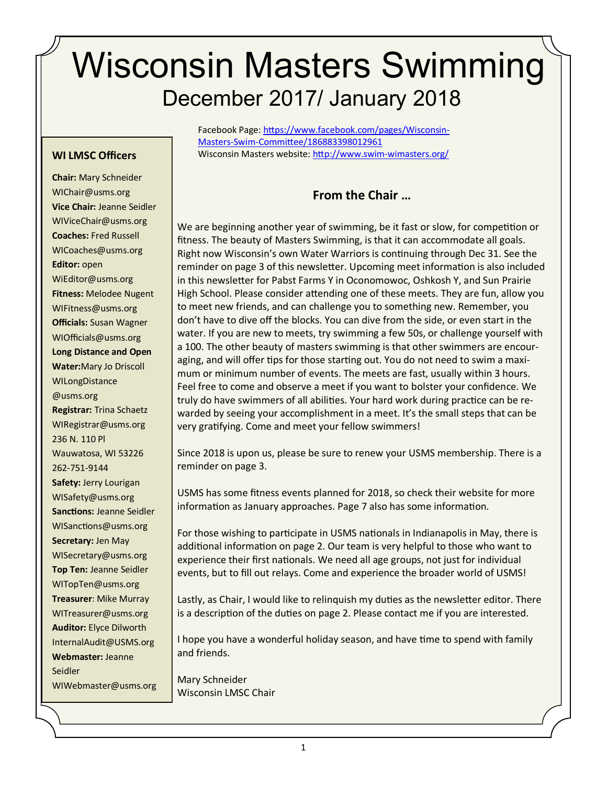# Wisconsin Masters Swimming December 2017/ January 2018

Facebook Page: [https://www.facebook.com/pages/Wisconsin](https://www.facebook.com/pages/Wisconsin-Masters-Swim-Committee/186883398012961)-Masters-Swim-[Committee/186883398012961](https://www.facebook.com/pages/Wisconsin-Masters-Swim-Committee/186883398012961)  Wisconsin Masters website: [http://www.swim](http://www.swim-wimasters.org/)-wimasters.org/

#### **WI LMSC Officers**

Chair: Mary Schneider WIChair@usms.org **Vice Chair:** Jeanne Seidler WIViceChair@usms.org **Coaches: Fred Russell** WICoaches@usms.org **Editor:** open WiEditor@usms.org **Fitness:** Melodee Nugent WIFitness@usms.org **Officials:** Susan Wagner WIOfficials@usms.org **Long Distance and Open**  Water: Mary Jo Driscoll WILongDistance @usms.org **Registrar:** Trina Schaetz WIRegistrar@usms.org 236 N. 110 Pl Wauwatosa, WI 53226 262-751-9144 **Safety:** Jerry Lourigan WISafety@usms.org **Sanctions:** Jeanne Seidler WISanctions@usms.org **Secretary:** Jen May WISecretary@usms.org **Top Ten:** Jeanne Seidler WITopTen@usms.org **Treasurer**: Mike Murray WITreasurer@usms.org **Auditor:** Elyce Dilworth [InternalAudit@USMS.org](mailto:InternalAudit@USMS.org) **Webmaster: Jeanne** Seidler i Seidler WIWebmaster@usms.org

**From the Chair …**

We are beginning another year of swimming, be it fast or slow, for competition or fitness. The beauty of Masters Swimming, is that it can accommodate all goals. Right now Wisconsin's own Water Warriors is continuing through Dec 31. See the reminder on page 3 of this newsletter. Upcoming meet information is also included in this newsletter for Pabst Farms Y in Oconomowoc, Oshkosh Y, and Sun Prairie High School. Please consider attending one of these meets. They are fun, allow you to meet new friends, and can challenge you to something new. Remember, you don't have to dive off the blocks. You can dive from the side, or even start in the water. If you are new to meets, try swimming a few 50s, or challenge yourself with a 100. The other beauty of masters swimming is that other swimmers are encouraging, and will offer tips for those starting out. You do not need to swim a maximum or minimum number of events. The meets are fast, usually within 3 hours. Feel free to come and observe a meet if you want to bolster your confidence. We truly do have swimmers of all abilities. Your hard work during practice can be rewarded by seeing your accomplishment in a meet. It's the small steps that can be very gratifying. Come and meet your fellow swimmers!

Since 2018 is upon us, please be sure to renew your USMS membership. There is a reminder on page 3.

USMS has some fitness events planned for 2018, so check their website for more information as January approaches. Page 7 also has some information.

For those wishing to participate in USMS nationals in Indianapolis in May, there is additional information on page 2. Our team is very helpful to those who want to experience their first nationals. We need all age groups, not just for individual events, but to fill out relays. Come and experience the broader world of USMS!

Lastly, as Chair, I would like to relinquish my duties as the newsletter editor. There is a description of the duties on page 2. Please contact me if you are interested.

I hope you have a wonderful holiday season, and have time to spend with family and friends.

Mary Schneider Wisconsin LMSC Chair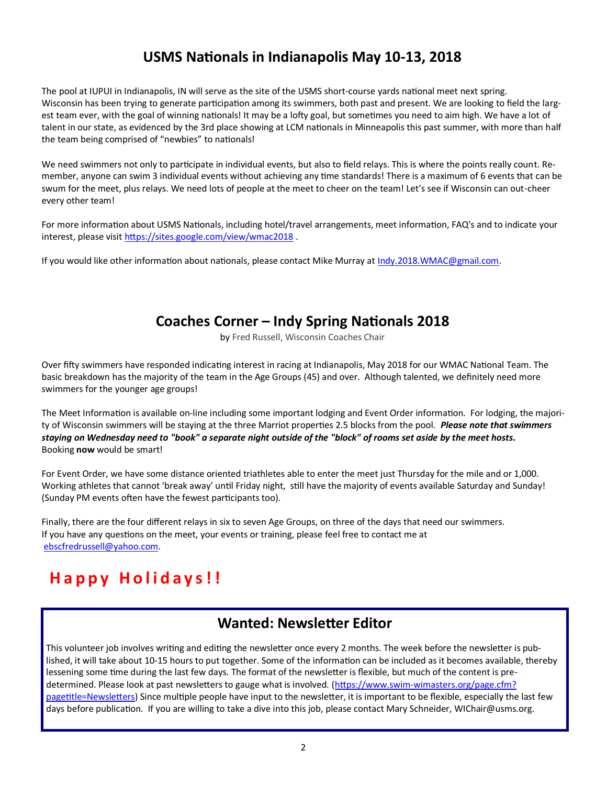# **USMS Nationals in Indianapolis May 10-13, 2018**

The pool at IUPUI in Indianapolis, IN will serve as the site of the USMS short-course yards national meet next spring. Wisconsin has been trying to generate participation among its swimmers, both past and present. We are looking to field the largest team ever, with the goal of winning nationals! It may be a lofty goal, but sometimes you need to aim high. We have a lot of talent in our state, as evidenced by the 3rd place showing at LCM nationals in Minneapolis this past summer, with more than half the team being comprised of "newbies" to nationals!

We need swimmers not only to participate in individual events, but also to field relays. This is where the points really count. Remember, anyone can swim 3 individual events without achieving any time standards! There is a maximum of 6 events that can be swum for the meet, plus relays. We need lots of people at the meet to cheer on the team! Let's see if Wisconsin can out-cheer every other team!

For more information about USMS Nationals, including hotel/travel arrangements, meet information, FAQ's and to indicate your interest, please visit <https://sites.google.com/view/wmac2018> .

If you would like other information about nationals, please contact Mike Murray at [Indy.2018.WMAC@gmail.com.](mailto:Indy.2018.WMAC@gmail.com)

# **Coaches Corner – Indy Spring Nationals 2018**

by Fred Russell, Wisconsin Coaches Chair

Over fifty swimmers have responded indicating interest in racing at Indianapolis, May 2018 for our WMAC National Team. The basic breakdown has the majority of the team in the Age Groups (45) and over. Although talented, we definitely need more swimmers for the younger age groups!

The Meet Information is available on-line including some important lodging and Event Order information. For lodging, the majority of Wisconsin swimmers will be staying at the three Marriot properties 2.5 blocks from the pool. *Please note that swimmers staying on Wednesday need to "book" a separate night outside of the "block" of rooms set aside by the meet hosts.*  Booking **now** would be smart!

For Event Order, we have some distance oriented triathletes able to enter the meet just Thursday for the mile and or 1,000. Working athletes that cannot 'break away' until Friday night, still have the majority of events available Saturday and Sunday! (Sunday PM events often have the fewest participants too).

Finally, there are the four different relays in six to seven Age Groups, on three of the days that need our swimmers. If you have any questions on the meet, your events or training, please feel free to contact me at [ebscfredrussell@yahoo.com.](mailto:ebscfredrussell@yahoo.com)

# **H a p p y H o l i d a y s ! !**

# **Wanted: Newsletter Editor**

This volunteer job involves writing and editing the newsletter once every 2 months. The week before the newsletter is published, it will take about 10-15 hours to put together. Some of the information can be included as it becomes available, thereby lessening some time during the last few days. The format of the newsletter is flexible, but much of the content is predetermined. Please look at past newsletters to gauge what is involved. (https://www.swim-[wimasters.org/page.cfm?](https://www.swim-wimasters.org/page.cfm?pagetitle=Newsletters) [pagetitle=Newsletters\)](https://www.swim-wimasters.org/page.cfm?pagetitle=Newsletters) Since multiple people have input to the newsletter, it is important to be flexible, especially the last few days before publication. If you are willing to take a dive into this job, please contact Mary Schneider, WIChair@usms.org.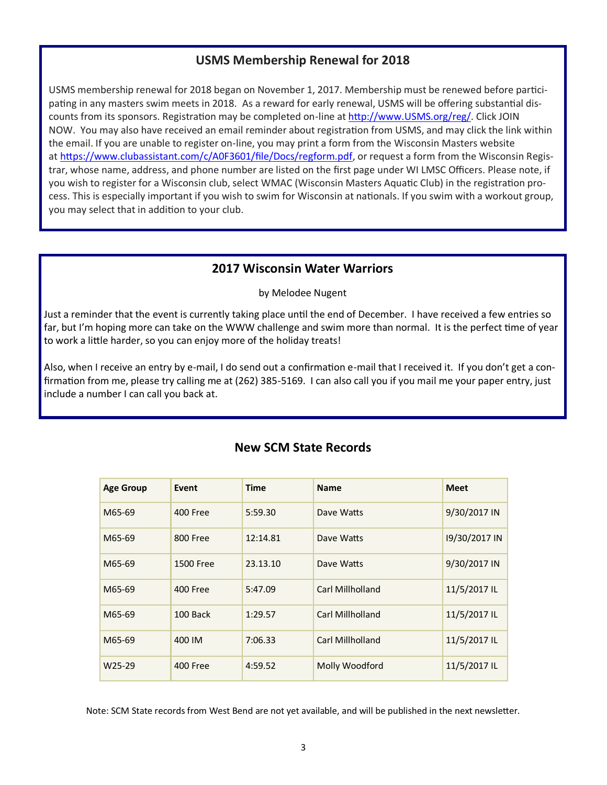## **USMS Membership Renewal for 2018**

USMS membership renewal for 2018 began on November 1, 2017. Membership must be renewed before participating in any masters swim meets in 2018. As a reward for early renewal, USMS will be offering substantial discounts from its sponsors. Registration may be completed on-line at [http://www.USMS.org/reg/.](http://www.usms.org/) Click JOIN NOW. You may also have received an email reminder about registration from USMS, and may click the link within the email. If you are unable to register on-line, you may print a form from the Wisconsin Masters website at [https://www.clubassistant.com/c/A0F3601/file/Docs/regform.pdf,](https://www.clubassistant.com/c/A0F3601/file/Docs/regform.pdf) or request a form from the Wisconsin Registrar, whose name, address, and phone number are listed on the first page under WI LMSC Officers. Please note, if you wish to register for a Wisconsin club, select WMAC (Wisconsin Masters Aquatic Club) in the registration process. This is especially important if you wish to swim for Wisconsin at nationals. If you swim with a workout group, you may select that in addition to your club.

### **2017 Wisconsin Water Warriors**

by Melodee Nugent

Just a reminder that the event is currently taking place until the end of December. I have received a few entries so far, but I'm hoping more can take on the WWW challenge and swim more than normal. It is the perfect time of year to work a little harder, so you can enjoy more of the holiday treats!

Also, when I receive an entry by e-mail, I do send out a confirmation e-mail that I received it. If you don't get a confirmation from me, please try calling me at (262) 385-5169. I can also call you if you mail me your paper entry, just include a number I can call you back at.

| <b>Age Group</b>    | Event           | <b>Time</b> | <b>Name</b>      | <b>Meet</b>   |
|---------------------|-----------------|-------------|------------------|---------------|
| M65-69              | <b>400 Free</b> | 5:59.30     | Dave Watts       | 9/30/2017 IN  |
| M65-69              | <b>800 Free</b> | 12:14.81    | Dave Watts       | 19/30/2017 IN |
| M65-69              | 1500 Free       | 23.13.10    | Dave Watts       | 9/30/2017 IN  |
| M65-69              | 400 Free        | 5:47.09     | Carl Millholland | 11/5/2017 IL  |
| M65-69              | 100 Back        | 1:29.57     | Carl Millholland | 11/5/2017 IL  |
| M65-69              | 400 IM          | 7:06.33     | Carl Millholland | 11/5/2017 IL  |
| W <sub>25</sub> -29 | 400 Free        | 4:59.52     | Molly Woodford   | 11/5/2017 IL  |

## **New SCM State Records**

Note: SCM State records from West Bend are not yet available, and will be published in the next newsletter.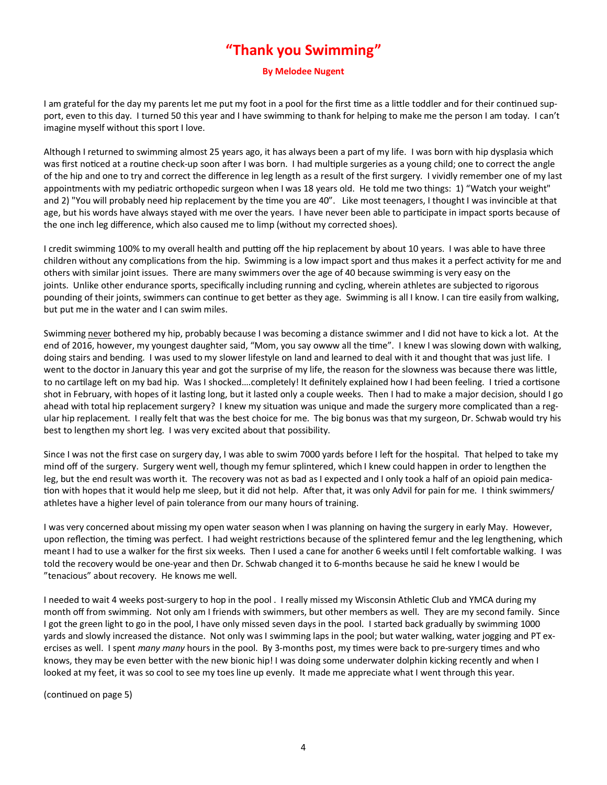# **"Thank you Swimming"**

#### **By Melodee Nugent**

I am grateful for the day my parents let me put my foot in a pool for the first time as a little toddler and for their continued support, even to this day. I turned 50 this year and I have swimming to thank for helping to make me the person I am today. I can't imagine myself without this sport I love.

Although I returned to swimming almost 25 years ago, it has always been a part of my life. I was born with hip dysplasia which was first noticed at a routine check-up soon after I was born. I had multiple surgeries as a young child; one to correct the angle of the hip and one to try and correct the difference in leg length as a result of the first surgery. I vividly remember one of my last appointments with my pediatric orthopedic surgeon when I was 18 years old. He told me two things: 1) "Watch your weight" and 2) "You will probably need hip replacement by the time you are 40". Like most teenagers, I thought I was invincible at that age, but his words have always stayed with me over the years. I have never been able to participate in impact sports because of the one inch leg difference, which also caused me to limp (without my corrected shoes).

I credit swimming 100% to my overall health and putting off the hip replacement by about 10 years. I was able to have three children without any complications from the hip. Swimming is a low impact sport and thus makes it a perfect activity for me and others with similar joint issues. There are many swimmers over the age of 40 because swimming is very easy on the joints. Unlike other endurance sports, specifically including running and cycling, wherein athletes are subjected to rigorous pounding of their joints, swimmers can continue to get better as they age. Swimming is all I know. I can tire easily from walking, but put me in the water and I can swim miles.

Swimming never bothered my hip, probably because I was becoming a distance swimmer and I did not have to kick a lot. At the end of 2016, however, my youngest daughter said, "Mom, you say owww all the time". I knew I was slowing down with walking, doing stairs and bending. I was used to my slower lifestyle on land and learned to deal with it and thought that was just life. I went to the doctor in January this year and got the surprise of my life, the reason for the slowness was because there was little, to no cartilage left on my bad hip. Was I shocked….completely! It definitely explained how I had been feeling. I tried a cortisone shot in February, with hopes of it lasting long, but it lasted only a couple weeks. Then I had to make a major decision, should I go ahead with total hip replacement surgery? I knew my situation was unique and made the surgery more complicated than a regular hip replacement. I really felt that was the best choice for me. The big bonus was that my surgeon, Dr. Schwab would try his best to lengthen my short leg. I was very excited about that possibility.

Since I was not the first case on surgery day, I was able to swim 7000 yards before I left for the hospital. That helped to take my mind off of the surgery. Surgery went well, though my femur splintered, which I knew could happen in order to lengthen the leg, but the end result was worth it. The recovery was not as bad as I expected and I only took a half of an opioid pain medication with hopes that it would help me sleep, but it did not help. After that, it was only Advil for pain for me. I think swimmers/ athletes have a higher level of pain tolerance from our many hours of training.

I was very concerned about missing my open water season when I was planning on having the surgery in early May. However, upon reflection, the timing was perfect. I had weight restrictions because of the splintered femur and the leg lengthening, which meant I had to use a walker for the first six weeks. Then I used a cane for another 6 weeks until I felt comfortable walking. I was told the recovery would be one-year and then Dr. Schwab changed it to 6-months because he said he knew I would be "tenacious" about recovery. He knows me well.

I needed to wait 4 weeks post-surgery to hop in the pool . I really missed my Wisconsin Athletic Club and YMCA during my month off from swimming. Not only am I friends with swimmers, but other members as well. They are my second family. Since I got the green light to go in the pool, I have only missed seven days in the pool. I started back gradually by swimming 1000 yards and slowly increased the distance. Not only was I swimming laps in the pool; but water walking, water jogging and PT exercises as well. I spent *many many* hours in the pool. By 3-months post, my times were back to pre-surgery times and who knows, they may be even better with the new bionic hip! I was doing some underwater dolphin kicking recently and when I looked at my feet, it was so cool to see my toes line up evenly. It made me appreciate what I went through this year.

(continued on page 5)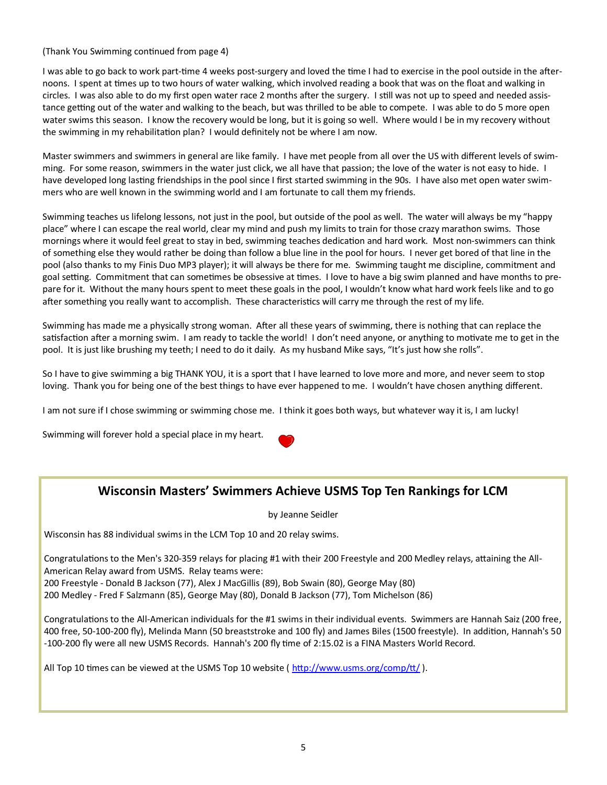(Thank You Swimming continued from page 4)

I was able to go back to work part-time 4 weeks post-surgery and loved the time I had to exercise in the pool outside in the afternoons. I spent at times up to two hours of water walking, which involved reading a book that was on the float and walking in circles. I was also able to do my first open water race 2 months after the surgery. I still was not up to speed and needed assistance getting out of the water and walking to the beach, but was thrilled to be able to compete. I was able to do 5 more open water swims this season. I know the recovery would be long, but it is going so well. Where would I be in my recovery without the swimming in my rehabilitation plan? I would definitely not be where I am now.

Master swimmers and swimmers in general are like family. I have met people from all over the US with different levels of swimming. For some reason, swimmers in the water just click, we all have that passion; the love of the water is not easy to hide. I have developed long lasting friendships in the pool since I first started swimming in the 90s. I have also met open water swimmers who are well known in the swimming world and I am fortunate to call them my friends.

Swimming teaches us lifelong lessons, not just in the pool, but outside of the pool as well. The water will always be my "happy place" where I can escape the real world, clear my mind and push my limits to train for those crazy marathon swims. Those mornings where it would feel great to stay in bed, swimming teaches dedication and hard work. Most non-swimmers can think of something else they would rather be doing than follow a blue line in the pool for hours. I never get bored of that line in the pool (also thanks to my Finis Duo MP3 player); it will always be there for me. Swimming taught me discipline, commitment and goal setting. Commitment that can sometimes be obsessive at times. I love to have a big swim planned and have months to prepare for it. Without the many hours spent to meet these goals in the pool, I wouldn't know what hard work feels like and to go after something you really want to accomplish. These characteristics will carry me through the rest of my life.

Swimming has made me a physically strong woman. After all these years of swimming, there is nothing that can replace the satisfaction after a morning swim. I am ready to tackle the world! I don't need anyone, or anything to motivate me to get in the pool. It is just like brushing my teeth; I need to do it daily. As my husband Mike says, "It's just how she rolls".

So I have to give swimming a big THANK YOU, it is a sport that I have learned to love more and more, and never seem to stop loving. Thank you for being one of the best things to have ever happened to me. I wouldn't have chosen anything different.

I am not sure if I chose swimming or swimming chose me. I think it goes both ways, but whatever way it is, I am lucky!

Swimming will forever hold a special place in my heart.

## **Wisconsin Masters' Swimmers Achieve USMS Top Ten Rankings for LCM**

by Jeanne Seidler

Wisconsin has 88 individual swims in the LCM Top 10 and 20 relay swims.

Congratulations to the Men's 320-359 relays for placing #1 with their 200 Freestyle and 200 Medley relays, attaining the All-American Relay award from USMS. Relay teams were:

200 Freestyle - Donald B Jackson (77), Alex J MacGillis (89), Bob Swain (80), George May (80)

200 Medley - Fred F Salzmann (85), George May (80), Donald B Jackson (77), Tom Michelson (86)

Congratulations to the All-American individuals for the #1 swims in their individual events. Swimmers are Hannah Saiz (200 free, 400 free, 50-100-200 fly), Melinda Mann (50 breaststroke and 100 fly) and James Biles (1500 freestyle). In addition, Hannah's 50 -100-200 fly were all new USMS Records. Hannah's 200 fly time of 2:15.02 is a FINA Masters World Record.

All Top 10 times can be viewed at the USMS Top 10 website ( $\frac{http://www.ussns.org/comp/tt/}{http://www.ussns.org/comp/tt/}$ ).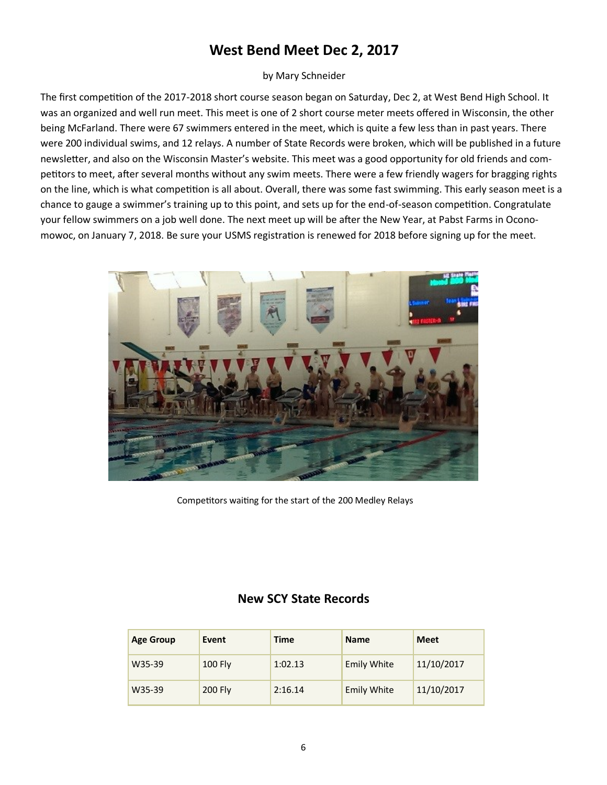# **West Bend Meet Dec 2, 2017**

#### by Mary Schneider

The first competition of the 2017-2018 short course season began on Saturday, Dec 2, at West Bend High School. It was an organized and well run meet. This meet is one of 2 short course meter meets offered in Wisconsin, the other being McFarland. There were 67 swimmers entered in the meet, which is quite a few less than in past years. There were 200 individual swims, and 12 relays. A number of State Records were broken, which will be published in a future newsletter, and also on the Wisconsin Master's website. This meet was a good opportunity for old friends and competitors to meet, after several months without any swim meets. There were a few friendly wagers for bragging rights on the line, which is what competition is all about. Overall, there was some fast swimming. This early season meet is a chance to gauge a swimmer's training up to this point, and sets up for the end-of-season competition. Congratulate your fellow swimmers on a job well done. The next meet up will be after the New Year, at Pabst Farms in Oconomowoc, on January 7, 2018. Be sure your USMS registration is renewed for 2018 before signing up for the meet.



Competitors waiting for the start of the 200 Medley Relays

## **New SCY State Records**

| <b>Age Group</b> | Event     | Time    | <b>Name</b>        | Meet       |
|------------------|-----------|---------|--------------------|------------|
| W35-39           | $100$ Fly | 1:02.13 | <b>Emily White</b> | 11/10/2017 |
| W35-39           | 200 Fly   | 2:16.14 | <b>Emily White</b> | 11/10/2017 |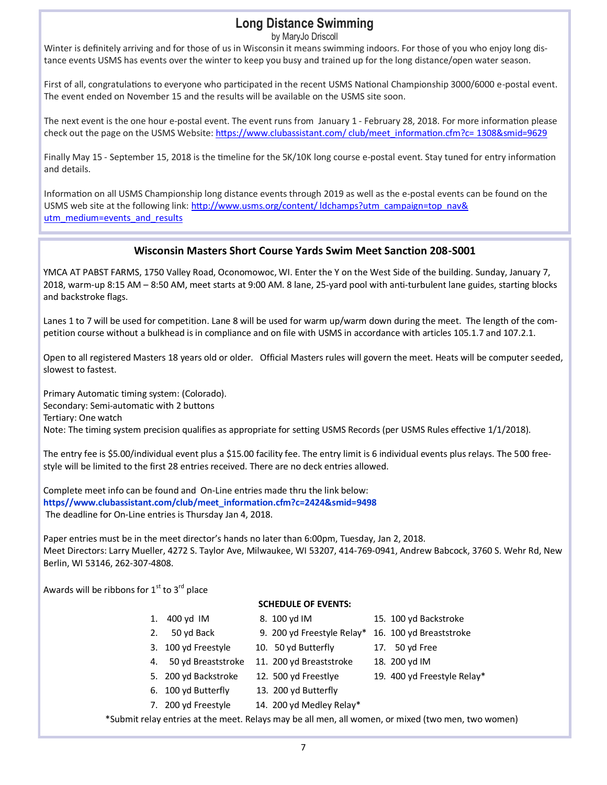# **Long Distance Swimming**

by MaryJo Driscoll

Winter is definitely arriving and for those of us in Wisconsin it means swimming indoors. For those of you who enjoy long distance events USMS has events over the winter to keep you busy and trained up for the long distance/open water season.

First of all, congratulations to everyone who participated in the recent USMS National Championship 3000/6000 e-postal event. The event ended on November 15 and the results will be available on the USMS site soon.

The next event is the one hour e-postal event. The event runs from January 1 - February 28, 2018. For more information please check out the page on the USMS Website: [https://www.clubassistant.com/ club/meet\\_information.cfm?c= 1308&smid=9629](https://www.clubassistant.com/club/meet_information.cfm?c=1308&smid=9629)

Finally May 15 - September 15, 2018 is the timeline for the 5K/10K long course e-postal event. Stay tuned for entry information and details.

Information on all USMS Championship long distance events through 2019 as well as the e-postal events can be found on the USMS web site at the following link: http://www.usms.org/content/ ldchamps?utm\_campaign=top\_nav& [utm\\_medium=events\\_and\\_results](http://www.usms.org/content/ldchamps?utm_campaign=top_nav&utm_medium=events_and_results)

#### **Wisconsin Masters Short Course Yards Swim Meet Sanction 208-S001**

YMCA AT PABST FARMS, 1750 Valley Road, Oconomowoc, WI. Enter the Y on the West Side of the building. Sunday, January 7, 2018, warm-up 8:15 AM – 8:50 AM, meet starts at 9:00 AM. 8 lane, 25-yard pool with anti-turbulent lane guides, starting blocks and backstroke flags.

Lanes 1 to 7 will be used for competition. Lane 8 will be used for warm up/warm down during the meet. The length of the competition course without a bulkhead is in compliance and on file with USMS in accordance with articles 105.1.7 and 107.2.1.

Open to all registered Masters 18 years old or older. Official Masters rules will govern the meet. Heats will be computer seeded, slowest to fastest.

Primary Automatic timing system: (Colorado). Secondary: Semi-automatic with 2 buttons Tertiary: One watch Note: The timing system precision qualifies as appropriate for setting USMS Records (per USMS Rules effective 1/1/2018).

The entry fee is \$5.00/individual event plus a \$15.00 facility fee. The entry limit is 6 individual events plus relays. The 500 freestyle will be limited to the first 28 entries received. There are no deck entries allowed.

Complete meet info can be found and On-Line entries made thru the link below: **https//www.clubassistant.com/club/meet\_information.cfm?c=2424&smid=9498** The deadline for On-Line entries is Thursday Jan 4, 2018.

Paper entries must be in the meet director's hands no later than 6:00pm, Tuesday, Jan 2, 2018. Meet Directors: Larry Mueller, 4272 S. Taylor Ave, Milwaukee, WI 53207, 414-769-0941, Andrew Babcock, 3760 S. Wehr Rd, New Berlin, WI 53146, 262-307-4808.

Awards will be ribbons for  $1<sup>st</sup>$  to  $3<sup>rd</sup>$  place

#### **SCHEDULE OF EVENTS:**

- -
- 3. 100 yd Freestyle 10. 50 yd Butterfly 17. 50 yd Free
- 4. 50 yd Breaststroke 11. 200 yd Breaststroke 18. 200 yd IM
- 
- 6. 100 yd Butterfly 13. 200 yd Butterfly
	-
- 
- 7. 200 yd Freestyle 14. 200 yd Medley Relay\*
- \*Submit relay entries at the meet. Relays may be all men, all women, or mixed (two men, two women)
- 1. 400 yd IM 8. 100 yd IM 15. 100 yd Backstroke
- 2. 50 yd Back 9. 200 yd Freestyle Relay\* 16. 100 yd Breaststroke
	-
	-
- 5. 200 yd Backstroke 12. 500 yd Freestlye 19. 400 yd Freestyle Relay\*
- 
-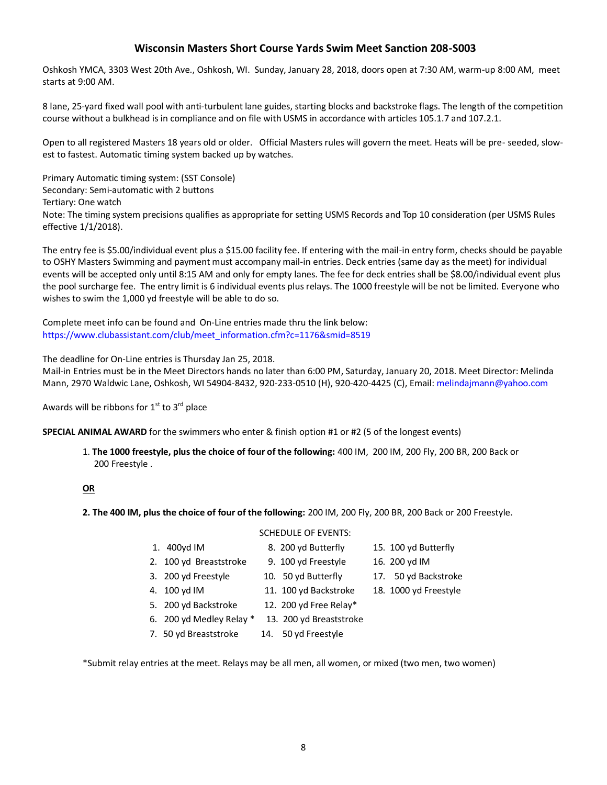#### **Wisconsin Masters Short Course Yards Swim Meet Sanction 208-S003**

Oshkosh YMCA, 3303 West 20th Ave., Oshkosh, WI. Sunday, January 28, 2018, doors open at 7:30 AM, warm-up 8:00 AM, meet starts at 9:00 AM.

8 lane, 25-yard fixed wall pool with anti-turbulent lane guides, starting blocks and backstroke flags. The length of the competition course without a bulkhead is in compliance and on file with USMS in accordance with articles 105.1.7 and 107.2.1.

Open to all registered Masters 18 years old or older. Official Masters rules will govern the meet. Heats will be pre- seeded, slowest to fastest. Automatic timing system backed up by watches.

Primary Automatic timing system: (SST Console) Secondary: Semi-automatic with 2 buttons Tertiary: One watch Note: The timing system precisions qualifies as appropriate for setting USMS Records and Top 10 consideration (per USMS Rules effective 1/1/2018).

The entry fee is \$5.00/individual event plus a \$15.00 facility fee. If entering with the mail-in entry form, checks should be payable to OSHY Masters Swimming and payment must accompany mail-in entries. Deck entries (same day as the meet) for individual events will be accepted only until 8:15 AM and only for empty lanes. The fee for deck entries shall be \$8.00/individual event plus the pool surcharge fee. The entry limit is 6 individual events plus relays. The 1000 freestyle will be not be limited. Everyone who wishes to swim the 1,000 yd freestyle will be able to do so.

Complete meet info can be found and On-Line entries made thru the link below: https://www.clubassistant.com/club/meet\_information.cfm?c=1176&smid=8519

The deadline for On-Line entries is Thursday Jan 25, 2018.

Mail-in Entries must be in the Meet Directors hands no later than 6:00 PM, Saturday, January 20, 2018. Meet Director: Melinda Mann, 2970 Waldwic Lane, Oshkosh, WI 54904-8432, 920-233-0510 (H), 920-420-4425 (C), Email: melindajmann@yahoo.com

Awards will be ribbons for  $1<sup>st</sup>$  to  $3<sup>rd</sup>$  place

**SPECIAL ANIMAL AWARD** for the swimmers who enter & finish option #1 or #2 (5 of the longest events)

1. **The 1000 freestyle, plus the choice of four of the following:** 400 IM, 200 IM, 200 Fly, 200 BR, 200 Back or 200 Freestyle .

#### **OR**

- **2. The 400 IM, plus the choice of four of the following:** 200 IM, 200 Fly, 200 BR, 200 Back or 200 Freestyle.
	-
	- 2. 100 yd Breaststroke 9. 100 yd Freestyle 16. 200 yd IM
	- 3. 200 yd Freestyle 10. 50 yd Butterfly 17. 50 yd Backstroke
	- 4. 100 yd IM 11. 100 yd Backstroke 18. 1000 yd Freestyle
	- 5. 200 yd Backstroke 12. 200 yd Free Relay\*
	- 6. 200 yd Medley Relay \* 13. 200 yd Breaststroke
	- 7. 50 yd Breaststroke 14. 50 yd Freestyle
- -

\*Submit relay entries at the meet. Relays may be all men, all women, or mixed (two men, two women)

#### SCHEDULE OF EVENTS:

- 1. 400yd IM 8. 200 yd Butterfly 15. 100 yd Butterfly
	-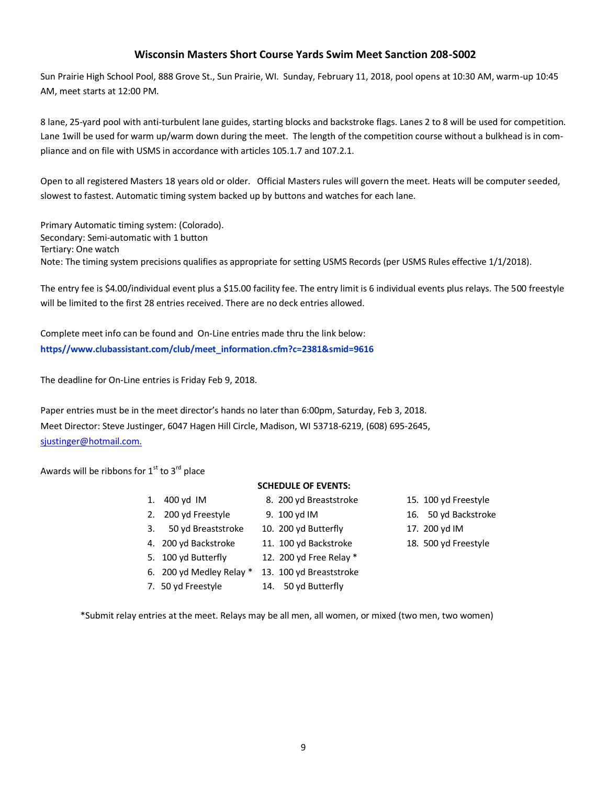#### **Wisconsin Masters Short Course Yards Swim Meet Sanction 208-S002**

Sun Prairie High School Pool, 888 Grove St., Sun Prairie, WI. Sunday, February 11, 2018, pool opens at 10:30 AM, warm-up 10:45 AM, meet starts at 12:00 PM.

8 lane, 25-yard pool with anti-turbulent lane guides, starting blocks and backstroke flags. Lanes 2 to 8 will be used for competition. Lane 1will be used for warm up/warm down during the meet. The length of the competition course without a bulkhead is in compliance and on file with USMS in accordance with articles 105.1.7 and 107.2.1.

Open to all registered Masters 18 years old or older. Official Masters rules will govern the meet. Heats will be computer seeded, slowest to fastest. Automatic timing system backed up by buttons and watches for each lane.

Primary Automatic timing system: (Colorado). Secondary: Semi-automatic with 1 button Tertiary: One watch Note: The timing system precisions qualifies as appropriate for setting USMS Records (per USMS Rules effective 1/1/2018).

The entry fee is \$4.00/individual event plus a \$15.00 facility fee. The entry limit is 6 individual events plus relays. The 500 freestyle will be limited to the first 28 entries received. There are no deck entries allowed.

Complete meet info can be found and On-Line entries made thru the link below: **https//www.clubassistant.com/club/meet\_information.cfm?c=2381&smid=9616**

The deadline for On-Line entries is Friday Feb 9, 2018.

Paper entries must be in the meet director's hands no later than 6:00pm, Saturday, Feb 3, 2018. Meet Director: Steve Justinger, 6047 Hagen Hill Circle, Madison, WI 53718-6219, (608) 695-2645, sjustinger@hotmail.com.

Awards will be ribbons for  $1<sup>st</sup>$  to  $3<sup>rd</sup>$  place

#### **SCHEDULE OF EVENTS:**

- 1. 400 yd IM 8. 200 yd Breaststroke 15. 100 yd Freestyle 2. 200 yd Freestyle 9. 100 yd IM 16. 50 yd Backstroke
- 3. 50 yd Breaststroke 10. 200 yd Butterfly 17. 200 yd IM
- 
- -
- -
- 4. 200 yd Backstroke 11. 100 yd Backstroke 18. 500 yd Freestyle
- 5. 100 yd Butterfly 12. 200 yd Free Relay \*
- 6. 200 yd Medley Relay \* 13. 100 yd Breaststroke
- 7. 50 yd Freestyle 14. 50 yd Butterfly
- 
- 
- 
- 
- \*Submit relay entries at the meet. Relays may be all men, all women, or mixed (two men, two women)